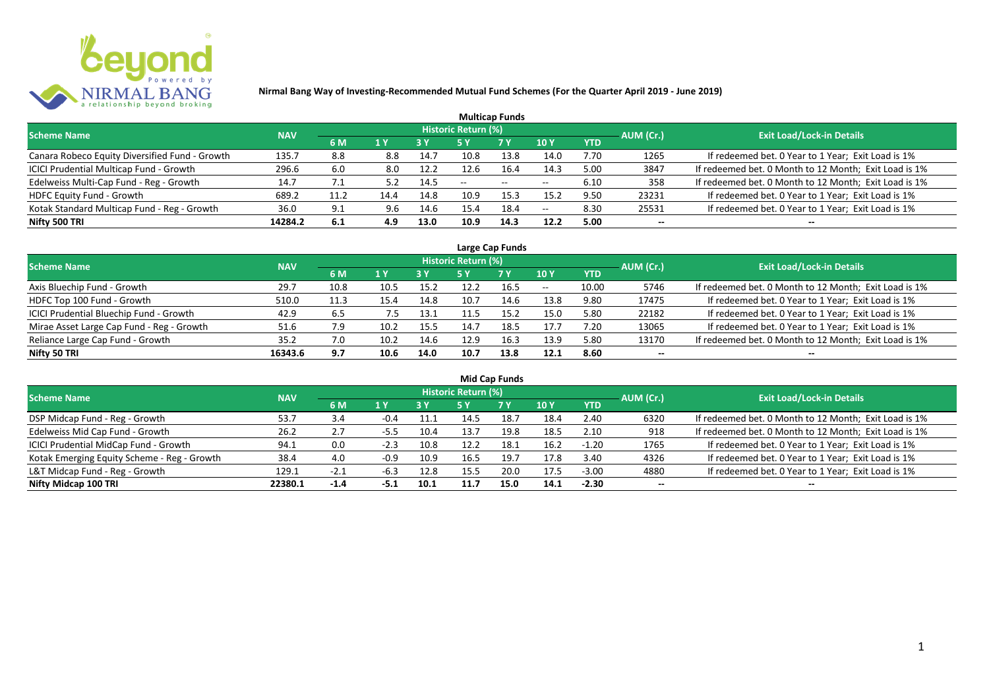

| <b>Multicap Funds</b>                          |            |      |      |      |                            |            |      |            |           |                                                       |  |  |  |  |
|------------------------------------------------|------------|------|------|------|----------------------------|------------|------|------------|-----------|-------------------------------------------------------|--|--|--|--|
| <b>Scheme Name</b>                             | <b>NAV</b> |      |      |      | <b>Historic Return (%)</b> |            |      |            | AUM (Cr.) | <b>Exit Load/Lock-in Details</b>                      |  |  |  |  |
|                                                |            | 6 M  | 1 Y  |      |                            | <b>7 Y</b> | 10Y  | <b>YTD</b> |           |                                                       |  |  |  |  |
| Canara Robeco Equity Diversified Fund - Growth | 135.7      | 8.8  | 8.8  | 14.7 | 10.8                       | 13.8       | 14.0 | 7.70       | 1265      | If redeemed bet. 0 Year to 1 Year; Exit Load is 1%    |  |  |  |  |
| ICICI Prudential Multicap Fund - Growth        | 296.6      | 6.0  | 8.0  | 12.2 | 12.6                       | 16.4       | 14.3 | 5.00       | 3847      | If redeemed bet. 0 Month to 12 Month; Exit Load is 1% |  |  |  |  |
| Edelweiss Multi-Cap Fund - Reg - Growth        | 14.7       | 7.1  |      | 14.5 | $- -$                      | $\sim$     | $-$  | 6.10       | 358       | If redeemed bet. 0 Month to 12 Month; Exit Load is 1% |  |  |  |  |
| HDFC Equity Fund - Growth                      | 689.2      | 11.2 | 14.4 | 14.8 | 10.9                       | 15.3       | 15.2 | 9.50       | 23231     | If redeemed bet. 0 Year to 1 Year; Exit Load is 1%    |  |  |  |  |
| Kotak Standard Multicap Fund - Reg - Growth    | 36.0       | 9.1  | 9.6  | 14.6 | 15.4                       | 18.4       | $-$  | 8.30       | 25531     | If redeemed bet. 0 Year to 1 Year; Exit Load is 1%    |  |  |  |  |
| Nifty 500 TRI                                  | 14284.2    | 6.1  | 4.9  | 13.0 | 10.9                       | 14.3       | 12.2 | 5.00       | $- -$     | $- -$                                                 |  |  |  |  |

|                                           |            |      |      |      |                            | Large Cap Funds |       |            |           |                                                       |
|-------------------------------------------|------------|------|------|------|----------------------------|-----------------|-------|------------|-----------|-------------------------------------------------------|
| <b>Scheme Name</b>                        | <b>NAV</b> |      |      |      | <b>Historic Return (%)</b> |                 |       |            | AUM (Cr.) | <b>Exit Load/Lock-in Details</b>                      |
|                                           |            | 6 M  | 1 Y  | 3 Y  | 5 Y                        | <b>7Y</b>       | 10Y   | <b>YTD</b> |           |                                                       |
| Axis Bluechip Fund - Growth               | 29.7       | 10.8 | 10.5 | 15.2 | 12.2                       | 16.5            | $- -$ | 10.00      | 5746      | If redeemed bet. 0 Month to 12 Month; Exit Load is 1% |
| HDFC Top 100 Fund - Growth                | 510.0      | 11.3 | 15.4 | 14.8 | 10.7                       | 14.6            | 13.8  | 9.80       | 17475     | If redeemed bet. 0 Year to 1 Year; Exit Load is 1%    |
| ICICI Prudential Bluechip Fund - Growth   | 42.9       | 6.5  | 7.5  | 13.1 |                            | 15.2            | 15.0  | 5.80       | 22182     | If redeemed bet. 0 Year to 1 Year; Exit Load is 1%    |
| Mirae Asset Large Cap Fund - Reg - Growth | 51.6       | 7.9  | 10.2 | 15.5 | 14.7                       | 18.5            | 17.7  | 7.20       | 13065     | If redeemed bet. 0 Year to 1 Year; Exit Load is 1%    |
| Reliance Large Cap Fund - Growth          | 35.2       | 7.0  | 10.2 | 14.6 | 12.9                       | 16.3            | 13.9  | 5.80       | 13170     | If redeemed bet. 0 Month to 12 Month; Exit Load is 1% |
| Nifty 50 TRI                              | 16343.6    | 9.7  | 10.6 | 14.0 | 10.7                       | 13.8            | 12.1  | 8.60       | $- -$     |                                                       |

| <b>Mid Cap Funds</b>                        |            |        |        |                                         |                            |      |      |         |                          |                                                       |  |  |  |
|---------------------------------------------|------------|--------|--------|-----------------------------------------|----------------------------|------|------|---------|--------------------------|-------------------------------------------------------|--|--|--|
| <b>Scheme Name</b>                          | <b>NAV</b> |        |        |                                         | <b>Historic Return (%)</b> |      |      |         | AUM (Cr.)                | <b>Exit Load/Lock-in Details</b>                      |  |  |  |
|                                             |            | 6 M    | 1 Y    | 10 Y<br>7 Y<br><b>YTD</b><br>3 Y<br>5 Y |                            |      |      |         |                          |                                                       |  |  |  |
| DSP Midcap Fund - Reg - Growth              | 53.7       | 3.4    | -0.4   | 11.1                                    | 14.5                       | 18.7 | 18.4 | 2.40    | 6320                     | If redeemed bet. 0 Month to 12 Month; Exit Load is 1% |  |  |  |
| Edelweiss Mid Cap Fund - Growth             | 26.2       | 2.7    | -5.5   | 10.4                                    | 13.7                       | 19.8 | 18.5 | 2.10    | 918                      | If redeemed bet. 0 Month to 12 Month; Exit Load is 1% |  |  |  |
| ICICI Prudential MidCap Fund - Growth       | 94.1       | 0.0    | $-2.3$ | 10.8                                    | 12.2                       | 18.1 | 16.2 | $-1.20$ | 1765                     | If redeemed bet. 0 Year to 1 Year; Exit Load is 1%    |  |  |  |
| Kotak Emerging Equity Scheme - Reg - Growth | 38.4       | 4.0    | $-0.9$ | 10.9                                    | 16.5                       | 19.7 | 17.8 | 3.40    | 4326                     | If redeemed bet. 0 Year to 1 Year; Exit Load is 1%    |  |  |  |
| L&T Midcap Fund - Reg - Growth              | 129.1      | $-2.1$ | $-6.3$ | 12.8                                    | 15.5                       | 20.0 | 17.5 | $-3.00$ | 4880                     | If redeemed bet. 0 Year to 1 Year; Exit Load is 1%    |  |  |  |
| Nifty Midcap 100 TRI                        | 22380.1    | $-1.4$ | -5.1   | 10.1                                    | 11.7                       | 15.0 | 14.1 | $-2.30$ | $\overline{\phantom{a}}$ | --                                                    |  |  |  |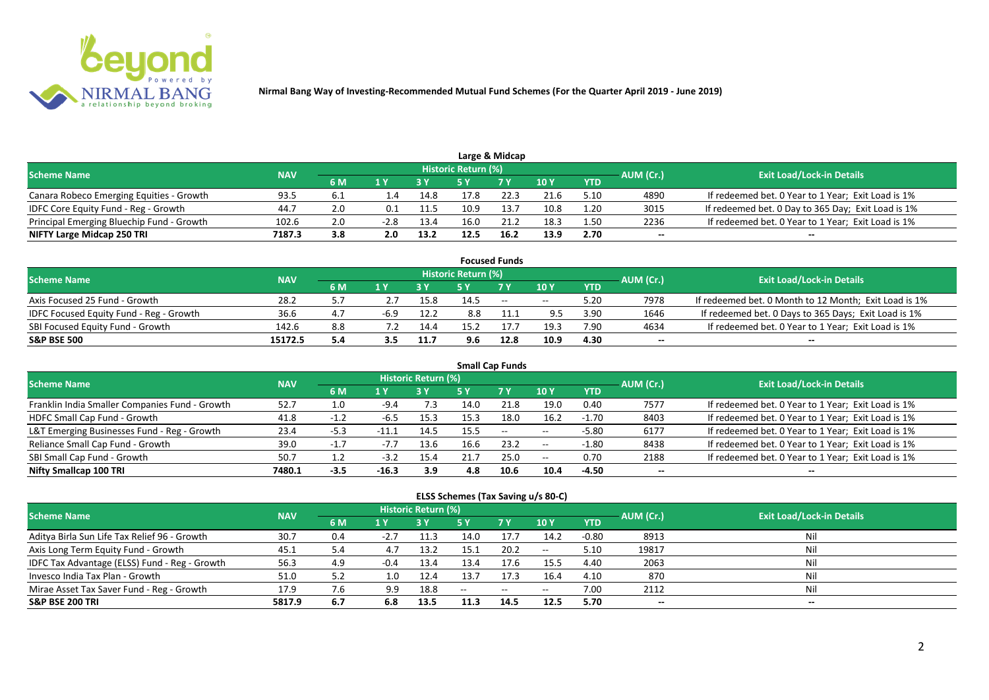

|                                           |            |      |        |      |                     | Large & Midcap |      |            |           |                                                    |
|-------------------------------------------|------------|------|--------|------|---------------------|----------------|------|------------|-----------|----------------------------------------------------|
| <b>Scheme Name</b>                        | <b>NAV</b> |      |        |      | Historic Return (%) |                |      |            | AUM (Cr.) | <b>Exit Load/Lock-in Details</b>                   |
|                                           |            | 6 M  |        |      |                     | 7 Y            | 10 Y | <b>YTD</b> |           |                                                    |
| Canara Robeco Emerging Equities - Growth  | 93.5       | -6.1 |        | 14.8 |                     | 22.3           | 21.6 | 5.10       | 4890      | If redeemed bet. 0 Year to 1 Year; Exit Load is 1% |
| IDFC Core Equity Fund - Reg - Growth      | 44.7       | 2.0  |        | 11.5 | 10.9                | 13.7           | 10.8 | 1.20       | 3015      | If redeemed bet. 0 Day to 365 Day; Exit Load is 1% |
| Principal Emerging Bluechip Fund - Growth | 102.6      | 2.0  | $-2.8$ | 13.4 | 16.0                | 21.2           | 18.3 | 1.50       | 2236      | If redeemed bet. 0 Year to 1 Year; Exit Load is 1% |
| NIFTY Large Midcap 250 TRI                | 7187.3     | 3.8  | 2.0    | 13.2 | 12.5                | 16.2           | 13.9 | 2.70       | --        | $- -$                                              |

|                                                |            |     |     |      |                     | <b>Focused Funds</b> |       |            |           |                                                       |
|------------------------------------------------|------------|-----|-----|------|---------------------|----------------------|-------|------------|-----------|-------------------------------------------------------|
| <b>Scheme Name</b>                             | <b>NAV</b> |     |     |      | Historic Return (%) |                      |       |            | AUM (Cr.) | <b>Exit Load/Lock-in Details</b>                      |
|                                                |            | 6 M | 1 V |      |                     | 7 Y                  | 10Y   | <b>YTD</b> |           |                                                       |
| Axis Focused 25 Fund - Growth                  | 28.2       |     |     | 15.8 | 14.5                | $\sim$               | $- -$ | 5.20       | 7978      | If redeemed bet. 0 Month to 12 Month; Exit Load is 1% |
| <b>IDFC Focused Equity Fund - Reg - Growth</b> | 36.6       | 4.7 |     | 12.2 | 8.8                 |                      | 9.5   | 3.90       | 1646      | If redeemed bet. 0 Days to 365 Days; Exit Load is 1%  |
| SBI Focused Equity Fund - Growth               | 142.6      | 8.8 |     | 14.4 | 15.1                |                      | 19.3  | 7.90       | 4634      | If redeemed bet. 0 Year to 1 Year; Exit Load is 1%    |
| <b>S&amp;P BSE 500</b>                         | 15172.5    | 5.4 | 3.5 | 11.7 | 9.6                 | 12.8                 | 10.9  | 4.30       | --        | --                                                    |

|                                                |            |        |         |                     |      | <b>Small Cap Funds</b>   |                          |            |           |                                                    |
|------------------------------------------------|------------|--------|---------|---------------------|------|--------------------------|--------------------------|------------|-----------|----------------------------------------------------|
| <b>Scheme Name</b>                             | <b>NAV</b> |        |         | Historic Return (%) |      |                          |                          |            | AUM (Cr.) | <b>Exit Load/Lock-in Details</b>                   |
|                                                |            | 6 M    | 1 Y     |                     | 5 Y  | <b>7Y</b>                | 10Y                      | <b>YTD</b> |           |                                                    |
| Franklin India Smaller Companies Fund - Growth | 52.7       | 1.0    | $-9.4$  | 7.3                 | 14.0 | 21.8                     | 19.0                     | 0.40       | 7577      | If redeemed bet. 0 Year to 1 Year; Exit Load is 1% |
| HDFC Small Cap Fund - Growth                   | 41.8       | $-1.2$ | -6.5    | 15.3                | 15.3 | 18.0                     | 16.2                     | $-1.70$    | 8403      | If redeemed bet. 0 Year to 1 Year; Exit Load is 1% |
| L&T Emerging Businesses Fund - Reg - Growth    | 23.4       | $-5.3$ |         | 14.5                | 15.5 | $\overline{\phantom{a}}$ | $\overline{\phantom{a}}$ | $-5.80$    | 6177      | If redeemed bet. 0 Year to 1 Year; Exit Load is 1% |
| Reliance Small Cap Fund - Growth               | 39.0       | $-1.7$ | $-7.7$  | 13.6                | 16.6 | 23.2                     | $- -$                    | $-1.80$    | 8438      | If redeemed bet. 0 Year to 1 Year; Exit Load is 1% |
| SBI Small Cap Fund - Growth                    | 50.7       |        | $-3.2$  | 15.4                |      | 25.0                     | $- -$                    | 0.70       | 2188      | If redeemed bet. 0 Year to 1 Year; Exit Load is 1% |
| Nifty Smallcap 100 TRI                         | 7480.1     | $-3.5$ | $-16.3$ | 3.9                 | 4.8  | 10.6                     | 10.4                     | $-4.50$    | $- -$     | --                                                 |

#### **ELSS Schemes (Tax Saving u/s 80-C)**

| <b>Scheme Name</b>                            | <b>NAV</b> |     |        | <b>Historic Return (%)</b> |      |                                                     | AUM (Cr.)       | <b>Exit Load/Lock-in Details</b> |                          |     |
|-----------------------------------------------|------------|-----|--------|----------------------------|------|-----------------------------------------------------|-----------------|----------------------------------|--------------------------|-----|
|                                               |            | 6 M | 1 Y    |                            | 5 Y  | <b>7 Y</b>                                          | 10 <sub>1</sub> | <b>YTD</b>                       |                          |     |
| Aditya Birla Sun Life Tax Relief 96 - Growth  | 30.7       | 0.4 | $-2.7$ | 11.3                       | 14.0 | 17.7                                                | 14.2            | -0.80                            | 8913                     | Nil |
| Axis Long Term Equity Fund - Growth           | 45.1       | 5.4 | 4.7    | 13.2                       | 15.1 | 20.2                                                | $- -$           | 5.10                             | 19817                    | Nil |
| IDFC Tax Advantage (ELSS) Fund - Reg - Growth | 56.3       | 4.9 | $-0.4$ | 13.4                       | 13.4 | 17.6                                                | 15.5            | 4.40                             | 2063                     | Nil |
| Invesco India Tax Plan - Growth               | 51.0       | 5.2 | 1.0    | 12.4                       | 13.  | 17.3                                                | 16.4            | 4.10                             | 870                      | Nil |
| Mirae Asset Tax Saver Fund - Reg - Growth     | 17.9       | 7.6 | 9.9    | 18.8                       | $-$  | $\hspace{0.05cm} -\hspace{0.05cm} -\hspace{0.05cm}$ | $- -$           | 7.00                             | 2112                     | Nil |
| <b>S&amp;P BSE 200 TRI</b>                    | 5817.9     | 6.7 | 6.8    | 13.5                       |      | 14.5                                                | 12.5            | 5.70                             | $\overline{\phantom{a}}$ | $-$ |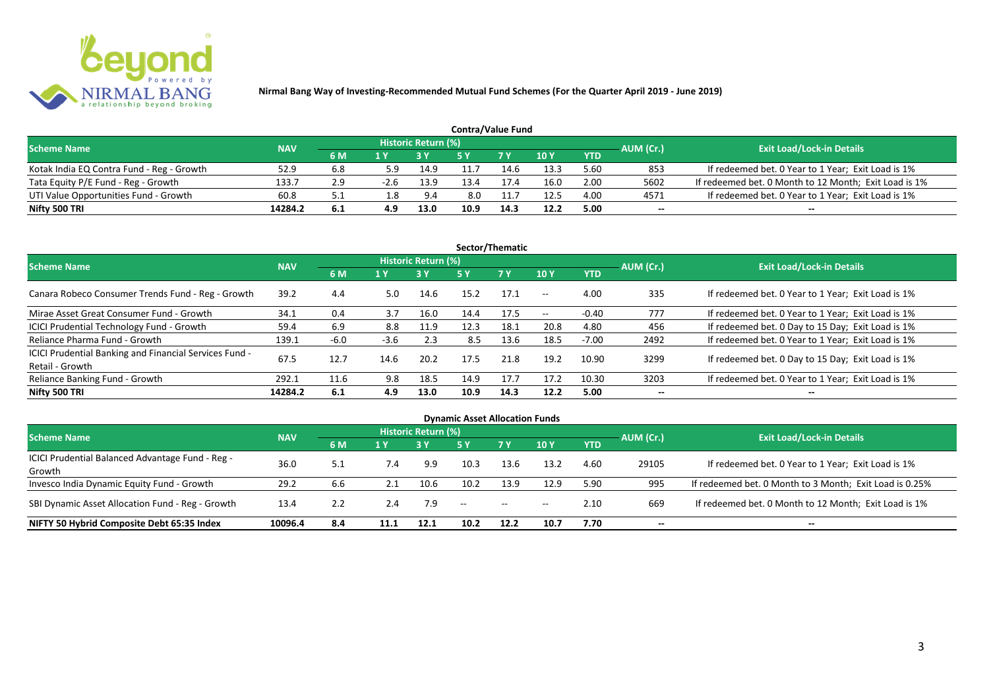

| <b>Contra/Value Fund</b>                  |            |     |        |                     |      |            |      |            |           |                                                       |  |  |  |
|-------------------------------------------|------------|-----|--------|---------------------|------|------------|------|------------|-----------|-------------------------------------------------------|--|--|--|
| <b>Scheme Name</b>                        | <b>NAV</b> |     |        | Historic Return (%) |      |            |      |            | AUM (Cr.) | <b>Exit Load/Lock-in Details</b>                      |  |  |  |
|                                           |            | 6 M |        |                     |      | <b>7 Y</b> | 10Y  | <b>YTD</b> |           |                                                       |  |  |  |
| Kotak India EQ Contra Fund - Reg - Growth | 52.S       | 6.8 | 5.9    | 14.9                |      | 14.6       | 13.3 | 5.60       | 853       | If redeemed bet. 0 Year to 1 Year; Exit Load is 1%    |  |  |  |
| Tata Equity P/E Fund - Reg - Growth       | 133.7      | 2.9 | $-2.6$ | 13.9                | 13.4 |            | 16.0 | 2.00       | 5602      | If redeemed bet. 0 Month to 12 Month; Exit Load is 1% |  |  |  |
| UTI Value Opportunities Fund - Growth     | 60.8       |     | .8.    | 9.4                 | 8.0  |            | 12.5 | 4.00       | 4571      | If redeemed bet. 0 Year to 1 Year; Exit Load is 1%    |  |  |  |
| Nifty 500 TRI                             | 14284.2    | 6.1 | 4.9    | 13.0                | 10.9 | 14.3       | 12.2 | 5.00       | --        | $- -$                                                 |  |  |  |

| Sector/Thematic                                                           |            |        |        |                            |      |           |                          |            |           |                                                    |  |  |  |
|---------------------------------------------------------------------------|------------|--------|--------|----------------------------|------|-----------|--------------------------|------------|-----------|----------------------------------------------------|--|--|--|
| <b>Scheme Name</b>                                                        | <b>NAV</b> |        |        | <b>Historic Return (%)</b> |      |           |                          |            | AUM (Cr.) | <b>Exit Load/Lock-in Details</b>                   |  |  |  |
|                                                                           |            | 6 M    | 1 Y    | <b>3 Y</b>                 | 5 Y  | <b>7Y</b> | <b>10Y</b>               | <b>YTD</b> |           |                                                    |  |  |  |
| Canara Robeco Consumer Trends Fund - Reg - Growth                         | 39.2       | 4.4    | 5.0    | 14.6                       | 15.2 | 17.1      | $ -$                     | 4.00       | 335       | If redeemed bet. 0 Year to 1 Year; Exit Load is 1% |  |  |  |
| Mirae Asset Great Consumer Fund - Growth                                  | 34.1       | 0.4    | 3.7    | 16.0                       | 14.4 | 17.5      | $\overline{\phantom{a}}$ | $-0.40$    | 777       | If redeemed bet. 0 Year to 1 Year; Exit Load is 1% |  |  |  |
| ICICI Prudential Technology Fund - Growth                                 | 59.4       | 6.9    | 8.8    | 11.9                       | 12.3 | 18.1      | 20.8                     | 4.80       | 456       | If redeemed bet. 0 Day to 15 Day; Exit Load is 1%  |  |  |  |
| Reliance Pharma Fund - Growth                                             | 139.1      | $-6.0$ | $-3.6$ | 2.3                        | 8.5  | 13.6      | 18.5                     | $-7.00$    | 2492      | If redeemed bet. 0 Year to 1 Year; Exit Load is 1% |  |  |  |
| ICICI Prudential Banking and Financial Services Fund -<br>Retail - Growth | 67.5       | 12.7   | 14.6   | 20.2                       | 17.5 | 21.8      | 19.2                     | 10.90      | 3299      | If redeemed bet. 0 Day to 15 Day; Exit Load is 1%  |  |  |  |
| Reliance Banking Fund - Growth                                            | 292.1      | 11.6   | 9.8    | 18.5                       | 14.9 | 17.7      | 17.2                     | 10.30      | 3203      | If redeemed bet. 0 Year to 1 Year; Exit Load is 1% |  |  |  |
| Nifty 500 TRI                                                             | 14284.2    | 6.1    | 4.9    | 13.0                       | 10.9 | 14.3      | 12.2                     | 5.00       | $- -$     | $\overline{\phantom{a}}$                           |  |  |  |

| <b>Dynamic Asset Allocation Funds</b>            |            |     |      |                            |                                                |           |            |            |           |                                                         |  |  |  |
|--------------------------------------------------|------------|-----|------|----------------------------|------------------------------------------------|-----------|------------|------------|-----------|---------------------------------------------------------|--|--|--|
| <b>Scheme Name</b>                               | <b>NAV</b> |     |      | <b>Historic Return (%)</b> |                                                |           |            |            |           | <b>Exit Load/Lock-in Details</b>                        |  |  |  |
|                                                  |            | 6 M | 1 Y  |                            | <b>5 Y</b>                                     | <b>7Y</b> | <b>10Y</b> | <b>YTD</b> | AUM (Cr.) |                                                         |  |  |  |
| ICICI Prudential Balanced Advantage Fund - Reg - | 36.0       |     |      | 9.9                        | 10.3                                           | 13.6      | 13.2       | 4.60       | 29105     | If redeemed bet. 0 Year to 1 Year; Exit Load is 1%      |  |  |  |
| Growth                                           |            | 5.1 | 7.4  |                            |                                                |           |            |            |           |                                                         |  |  |  |
| Invesco India Dynamic Equity Fund - Growth       | 29.2       | 6.6 | 2.1  | 10.6                       | 10.2                                           | 13.9      | 12.9       | 5.90       | 995       | If redeemed bet. 0 Month to 3 Month; Exit Load is 0.25% |  |  |  |
| SBI Dynamic Asset Allocation Fund - Reg - Growth | 13.4       | 2.2 | 2.4  | 7.9                        | $\hspace{0.1mm}-\hspace{0.1mm}-\hspace{0.1mm}$ | $\sim$    | $- -$      | 2.10       | 669       | If redeemed bet. 0 Month to 12 Month; Exit Load is 1%   |  |  |  |
| NIFTY 50 Hybrid Composite Debt 65:35 Index       | 10096.4    | 8.4 | 11.1 | 12.1                       | 10.2                                           | 12.2      | 10.7       | 7.70       | --        | $- -$                                                   |  |  |  |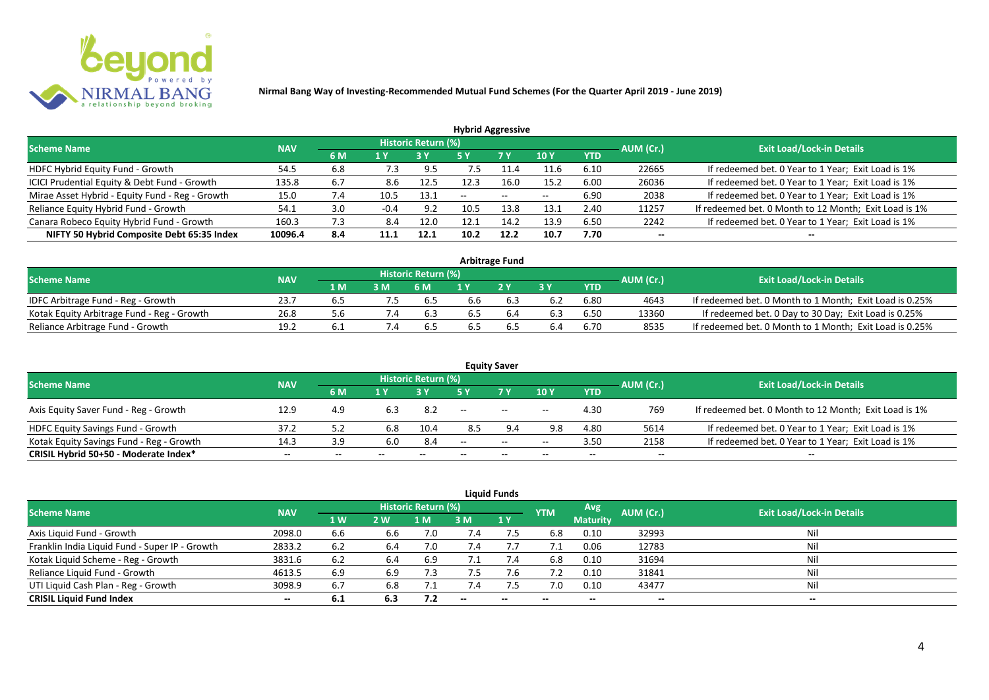

| <b>Hybrid Aggressive</b>                        |            |     |        |                     |       |       |            |            |                          |                                                       |  |  |  |
|-------------------------------------------------|------------|-----|--------|---------------------|-------|-------|------------|------------|--------------------------|-------------------------------------------------------|--|--|--|
| <b>Scheme Name</b>                              | <b>NAV</b> |     |        | Historic Return (%) |       |       |            |            | AUM (Cr.)                | <b>Exit Load/Lock-in Details</b>                      |  |  |  |
|                                                 |            | 6 M | 1 Y    |                     | 5 Y   | 7 Y   | <b>10Y</b> | <b>YTD</b> |                          |                                                       |  |  |  |
| HDFC Hybrid Equity Fund - Growth                | 54.5       | 6.8 | 7.3    | 9.5                 | כ.    |       | 11.6       | 6.10       | 22665                    | If redeemed bet. 0 Year to 1 Year; Exit Load is 1%    |  |  |  |
| ICICI Prudential Equity & Debt Fund - Growth    | 135.8      | 6.7 | 8.6    | 12.5                |       | 16.0  | 15.2       | 6.00       | 26036                    | If redeemed bet. 0 Year to 1 Year; Exit Load is 1%    |  |  |  |
| Mirae Asset Hybrid - Equity Fund - Reg - Growth | 15.0       | 7.4 | 10.5   | 13.1                | $- -$ | $- -$ | $- -$      | 6.90       | 2038                     | If redeemed bet. 0 Year to 1 Year; Exit Load is 1%    |  |  |  |
| Reliance Equity Hybrid Fund - Growth            | 54.1       | 3.0 | $-0.4$ | 9.2                 | 10.5  | 13.8  | 13.1       | 2.40       | 11257                    | If redeemed bet. 0 Month to 12 Month; Exit Load is 1% |  |  |  |
| Canara Robeco Equity Hybrid Fund - Growth       | 160.3      | 7.3 | 8.4    | 12.0                |       | 14.2  | 13.9       | 6.50       | 2242                     | If redeemed bet. 0 Year to 1 Year; Exit Load is 1%    |  |  |  |
| NIFTY 50 Hybrid Composite Debt 65:35 Index      | 10096.4    | 8.4 | 11.1   | 12.1                | 10.2  | 12.2  | 10.7       | 7.70       | $\overline{\phantom{a}}$ |                                                       |  |  |  |
|                                                 |            |     |        |                     |       |       |            |            |                          |                                                       |  |  |  |

| <b>Arbitrage Fund</b>                      |            |      |                |                            |     |     |     |            |           |                                                         |  |  |  |
|--------------------------------------------|------------|------|----------------|----------------------------|-----|-----|-----|------------|-----------|---------------------------------------------------------|--|--|--|
| <b>Scheme Name</b>                         | <b>NAV</b> |      |                | <b>Historic Return (%)</b> |     |     |     |            | AUM (Cr.) | <b>Exit Load/Lock-in Details</b>                        |  |  |  |
|                                            |            | 1 M. |                | 6 M                        |     | 2V  |     | <b>YTD</b> |           |                                                         |  |  |  |
| IDFC Arbitrage Fund - Reg - Growth         | 23.7       | 6.5  |                | 6.5                        | 6.6 |     | 6.2 | 6.80       | 4643      | If redeemed bet. 0 Month to 1 Month; Exit Load is 0.25% |  |  |  |
| Kotak Equity Arbitrage Fund - Reg - Growth | 26.8       | 5.b  | $^{\prime}$ .4 | 6.3                        | b.5 | 6.4 | 6.3 | 6.50       | 13360     | If redeemed bet. 0 Day to 30 Day; Exit Load is 0.25%    |  |  |  |
| Reliance Arbitrage Fund - Growth           | 19.2       | 6. I |                | 6.5                        | b.5 |     | 6.4 | 6.70       | 8535      | If redeemed bet. 0 Month to 1 Month; Exit Load is 0.25% |  |  |  |

|                                          |            |     |     |                     |       | <b>Equity Saver</b>      |                          |            |           |                                                       |
|------------------------------------------|------------|-----|-----|---------------------|-------|--------------------------|--------------------------|------------|-----------|-------------------------------------------------------|
| <b>Scheme Name</b>                       | <b>NAV</b> |     |     | Historic Return (%) |       |                          |                          |            | AUM (Cr.) | <b>Exit Load/Lock-in Details</b>                      |
|                                          |            | 6 M | 1 V |                     |       | <b>7Y</b>                | 10Y                      | <b>YTD</b> |           |                                                       |
| Axis Equity Saver Fund - Reg - Growth    | 12.9       | 4.9 | 6.3 | 8.2                 | $- -$ | $\sim$                   | $\overline{\phantom{a}}$ | 4.30       | 769       | If redeemed bet. 0 Month to 12 Month; Exit Load is 1% |
| HDFC Equity Savings Fund - Growth        | 37.2       |     | 6.8 | 10.4                | 8.5   |                          | 9.8                      | 4.80       | 5614      | If redeemed bet. 0 Year to 1 Year; Exit Load is 1%    |
| Kotak Equity Savings Fund - Reg - Growth | 14.3       | 3.9 | 6.0 | 8.4                 | $-$   | $\overline{\phantom{a}}$ | $- -$                    | 3.50       | 2158      | If redeemed bet. 0 Year to 1 Year; Exit Load is 1%    |
| CRISIL Hybrid 50+50 - Moderate Index*    | $- -$      | --  | $-$ | $- -$               | --    | --                       | $- -$                    | $- -$      | $-$       | $- -$                                                 |

| <b>Liquid Funds</b>                            |            |     |     |                            |            |      |            |                 |           |                                  |  |  |  |  |
|------------------------------------------------|------------|-----|-----|----------------------------|------------|------|------------|-----------------|-----------|----------------------------------|--|--|--|--|
| Scheme Name                                    | <b>NAV</b> |     |     | <b>Historic Return (%)</b> |            |      | <b>YTM</b> | Avg             | AUM (Cr.) | <b>Exit Load/Lock-in Details</b> |  |  |  |  |
|                                                |            | 1W  | 2 W | 1 M                        | 3 M        | 71 Y |            | <b>Maturity</b> |           |                                  |  |  |  |  |
| Axis Liquid Fund - Growth                      | 2098.0     | 6.6 | 6.6 |                            | $\sqrt{4}$ | 7.5  | 6.8        | 0.10            | 32993     | Nil                              |  |  |  |  |
| Franklin India Liquid Fund - Super IP - Growth | 2833.2     | 6.2 | 6.4 | 7.0                        | 7.4        |      |            | 0.06            | 12783     | Nil                              |  |  |  |  |
| Kotak Liquid Scheme - Reg - Growth             | 3831.6     | 6.2 | 6.4 | 6.9                        | 7.1        | 7.4  | 6.8        | 0.10            | 31694     | Nil                              |  |  |  |  |
| Reliance Liquid Fund - Growth                  | 4613.5     | 6.9 | 6.9 | 7.3                        |            | 7.6  | 7.2        | 0.10            | 31841     | Nil                              |  |  |  |  |
| UTI Liquid Cash Plan - Reg - Growth            | 3098.9     | 6.7 | 6.8 |                            | 7.4        |      | 7.0        | 0.10            | 43477     | Nil                              |  |  |  |  |
| <b>CRISIL Liquid Fund Index</b>                | $- -$      | 6.1 | 6.3 | 7.2                        | $-$        | $-$  | $- -$      | $- -$           | $- -$     | $\sim$                           |  |  |  |  |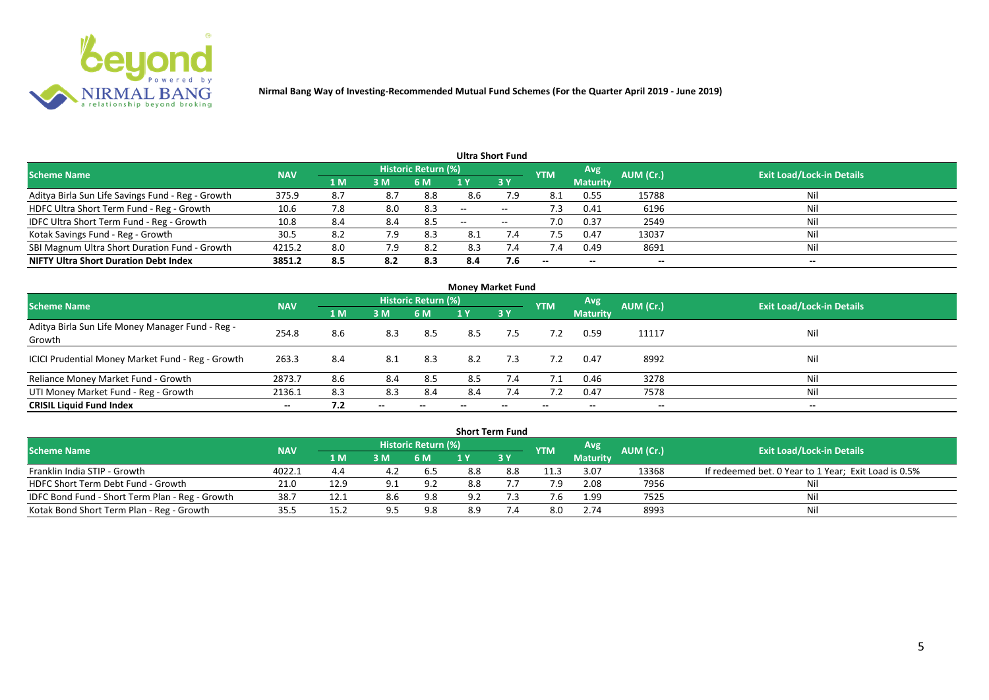

|                                                   |            |                |     |                            |                          | <b>Ultra Short Fund</b> |            |                          |           |                                  |
|---------------------------------------------------|------------|----------------|-----|----------------------------|--------------------------|-------------------------|------------|--------------------------|-----------|----------------------------------|
| <b>Scheme Name</b>                                | <b>NAV</b> |                |     | <b>Historic Return (%)</b> |                          |                         | <b>YTM</b> | Avg                      | AUM (Cr.) | <b>Exit Load/Lock-in Details</b> |
|                                                   |            | 1 <sub>M</sub> | 3 M | 6 M                        |                          | 3Y                      |            | <b>Maturity</b>          |           |                                  |
| Aditya Birla Sun Life Savings Fund - Reg - Growth | 375.9      | 8.7            | 8.7 | 8.8                        | 8.6                      | 7.9                     | 8.1        | 0.55                     | 15788     | Nil                              |
| HDFC Ultra Short Term Fund - Reg - Growth         | 10.6       | 7.8            | 8.0 | 8.3                        | $\overline{\phantom{a}}$ | $- -$                   | 7.3        | 0.41                     | 6196      | Nil                              |
| IDFC Ultra Short Term Fund - Reg - Growth         | 10.8       | 8.4            | 8.4 | 8.5                        | $\overline{\phantom{a}}$ | $- -$                   | 7.0        | 0.37                     | 2549      | Nil                              |
| Kotak Savings Fund - Reg - Growth                 | 30.5       | 8.2            | 7.9 | 8.3                        | 8.1                      | 7.4                     | 7.5        | 0.47                     | 13037     | Nil                              |
| SBI Magnum Ultra Short Duration Fund - Growth     | 4215.2     | 8.0            | 7.9 | 8.2                        | 8.3                      | 7.4                     | 7.4        | 0.49                     | 8691      | Nil                              |
| <b>NIFTY Ultra Short Duration Debt Index</b>      | 3851.2     | 8.5            | 8.2 | 8.3                        | 8.4                      | 7.6                     | $- -$      | $\overline{\phantom{a}}$ | --        | $- -$                            |

| <b>Money Market Fund</b>                                   |            |     |       |                     |     |     |            |                 |           |                                  |  |  |  |
|------------------------------------------------------------|------------|-----|-------|---------------------|-----|-----|------------|-----------------|-----------|----------------------------------|--|--|--|
| <b>Scheme Name</b>                                         | <b>NAV</b> |     |       | Historic Return (%) |     |     | <b>YTM</b> | Avg             | AUM (Cr.) | <b>Exit Load/Lock-in Details</b> |  |  |  |
|                                                            |            | 1 M | 3M    | 6 M                 | 1 Y | 3Y  |            | <b>Maturity</b> |           |                                  |  |  |  |
| Aditya Birla Sun Life Money Manager Fund - Reg -<br>Growth | 254.8      | 8.6 | 8.3   | 8.5                 | 8.5 | 7.5 | 7.2        | 0.59            | 11117     | Nil                              |  |  |  |
| ICICI Prudential Money Market Fund - Reg - Growth          | 263.3      | 8.4 | 8.1   | 8.3                 | 8.2 | 7.3 | 7.2        | 0.47            | 8992      | Nil                              |  |  |  |
| Reliance Money Market Fund - Growth                        | 2873.7     | 8.6 | 8.4   | 8.5                 | 8.5 | 7.4 | 7.1        | 0.46            | 3278      | Nil                              |  |  |  |
| UTI Money Market Fund - Reg - Growth                       | 2136.1     | 8.3 | 8.3   | 8.4                 | 8.4 | 7.4 | 7.2        | 0.47            | 7578      | Nil                              |  |  |  |
| <b>CRISIL Liquid Fund Index</b>                            | $- -$      | 7.2 | $- -$ |                     |     |     |            | --              | $- -$     | $- -$                            |  |  |  |

|                                                 |            |      |     |                            |     | <b>Short Term Fund</b> |            |                 |           |                                                      |
|-------------------------------------------------|------------|------|-----|----------------------------|-----|------------------------|------------|-----------------|-----------|------------------------------------------------------|
| <b>Scheme Name</b>                              | <b>NAV</b> |      |     | <b>Historic Return (%)</b> |     |                        | <b>YTM</b> | <b>Avg</b>      | AUM (Cr.) | <b>Exit Load/Lock-in Details</b>                     |
|                                                 |            | '1 M | 3M  | 6 M                        |     | $-3V$                  |            | <b>Maturity</b> |           |                                                      |
| Franklin India STIP - Growth                    | 4022.1     | 4.4  | 4.2 | -6.5                       | 8.8 | 8.8                    | 11.3       | 3.07            | 13368     | If redeemed bet. 0 Year to 1 Year; Exit Load is 0.5% |
| HDFC Short Term Debt Fund - Growth              | 21.0       | 12.9 |     | 9.2                        | 8.8 |                        | 7.9        | 2.08            | 7956      | Nil                                                  |
| IDFC Bond Fund - Short Term Plan - Reg - Growth | 38.7       | 12.1 | 8.6 | 9.8                        | 9.2 |                        |            | 1.99            | 7525      | Nil                                                  |
| Kotak Bond Short Term Plan - Reg - Growth       | 35.5       | 15.2 |     | 9.8                        | 8.9 |                        | 8.0        | 2.74            | 8993      | Nil                                                  |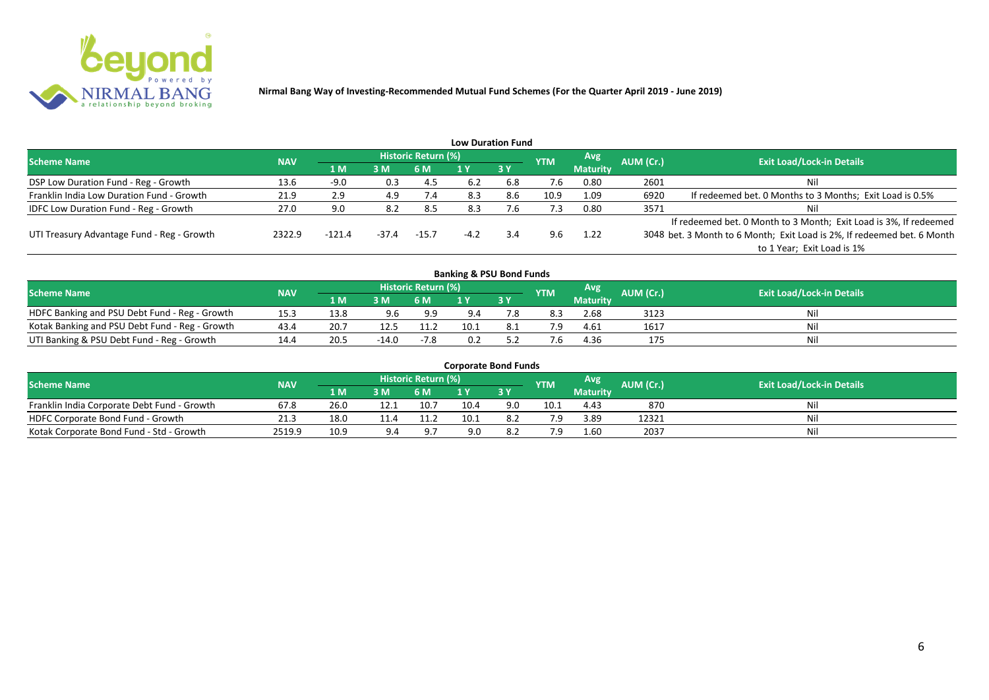

|                                              |            |          |         |                     |        | <b>Low Duration Fund</b> |            |                 |           |                                                                         |
|----------------------------------------------|------------|----------|---------|---------------------|--------|--------------------------|------------|-----------------|-----------|-------------------------------------------------------------------------|
| <b>Scheme Name</b>                           | <b>NAV</b> |          |         | Historic Return (%) |        |                          | <b>YTM</b> | Avg             | AUM (Cr.) | <b>Exit Load/Lock-in Details</b>                                        |
|                                              |            | 1 M      | 3M      | 6 M                 |        | 3Y                       |            | <b>Maturity</b> |           |                                                                         |
| DSP Low Duration Fund - Reg - Growth         | 13.6       | $-9.0$   | 0.3     | -4.5                | 6.2    | 6.8                      | 7.6        | 0.80            | 2601      | Nil                                                                     |
| Franklin India Low Duration Fund - Growth    | 21.9       | 2.9      | 4.9     | 7.4                 | 8.3    | 8.6                      | 10.9       | 1.09            | 6920      | If redeemed bet. 0 Months to 3 Months; Exit Load is 0.5%                |
| <b>IDFC Low Duration Fund - Reg - Growth</b> | 27.0       | 9.0      | 8.2     | 8.5                 | 8.3    | ∴6                       | 7.3        | 0.80            | 3571      | Nil                                                                     |
|                                              |            |          |         |                     |        |                          |            |                 |           | If redeemed bet. 0 Month to 3 Month; Exit Load is 3%, If redeemed       |
| UTI Treasury Advantage Fund - Reg - Growth   | 2322.9     | $-121.4$ | $-37.4$ | $-15.7$             | $-4.2$ | 3.4                      | 9.6        | 1.22            |           | 3048 bet. 3 Month to 6 Month; Exit Load is 2%, If redeemed bet. 6 Month |
|                                              |            |          |         |                     |        |                          |            |                 |           | to 1 Year; Exit Load is 1%                                              |
|                                              |            |          |         |                     |        |                          |            |                 |           |                                                                         |

| <b>Banking &amp; PSU Bond Funds</b>            |            |      |         |                     |      |      |            |                 |           |                                  |  |  |  |
|------------------------------------------------|------------|------|---------|---------------------|------|------|------------|-----------------|-----------|----------------------------------|--|--|--|
| <b>Scheme Name</b>                             | <b>NAV</b> |      |         | Historic Return (%) |      |      | <b>YTM</b> | Avg             | AUM (Cr.) | <b>Exit Load/Lock-in Details</b> |  |  |  |
|                                                |            | 1 M  | 3M      | 6 M                 |      | 73 Y |            | <b>Maturity</b> |           |                                  |  |  |  |
| HDFC Banking and PSU Debt Fund - Reg - Growth  | 15.3       | 13.8 | 9.6     | 9.9                 | 9.4  |      | 8.3        | 2.68            | 3123      | Nil                              |  |  |  |
| Kotak Banking and PSU Debt Fund - Reg - Growth | 43.4       | 20.7 | 12.5    | 11.2                | 10.1 | 8.1  |            | 4.61            | 1617      | Nil                              |  |  |  |
| UTI Banking & PSU Debt Fund - Reg - Growth     | 14.4       | 20.5 | $-14.0$ | $-7.8$              | 0.2  |      |            | 4.36            |           | Nil                              |  |  |  |

| <b>Corporate Bond Funds</b>                 |            |      |     |                            |      |     |            |                 |           |                                  |  |  |  |
|---------------------------------------------|------------|------|-----|----------------------------|------|-----|------------|-----------------|-----------|----------------------------------|--|--|--|
| <b>Scheme Name</b>                          | <b>NAV</b> |      |     | <b>Historic Return (%)</b> |      |     | <b>YTM</b> | Avg             | AUM (Cr.) | <b>Exit Load/Lock-in Details</b> |  |  |  |
|                                             |            | 1 M. | 3 M | 6 M                        |      | 3 Y |            | <b>Maturity</b> |           |                                  |  |  |  |
| Franklin India Corporate Debt Fund - Growth | 67.8       | 26.0 |     | 10.7                       | 10.4 | 9.0 | 10.1       | 4.43            | 870       | Nil                              |  |  |  |
| HDFC Corporate Bond Fund - Growth           | 21.3       | 18.0 |     |                            | 10.1 |     |            | 3.89            | 12321     | Nil                              |  |  |  |
| Kotak Corporate Bond Fund - Std - Growth    | 2519.9     | 10.9 | 9.4 | $\alpha$ .                 | 9.0  | 8.2 |            | 1.60            | 2037      | Nil                              |  |  |  |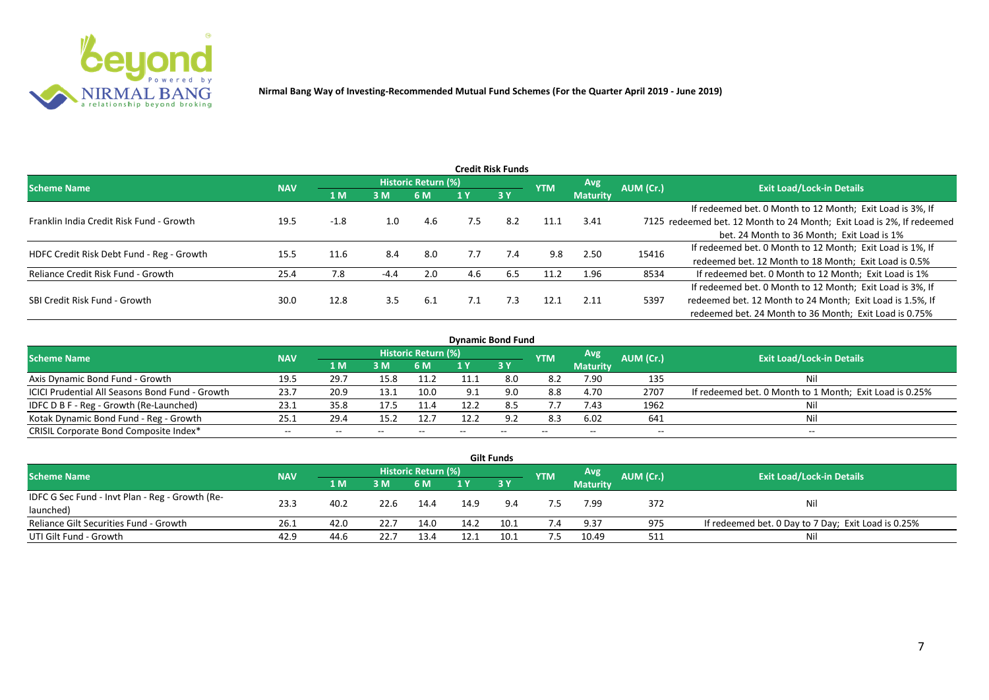

|                                           |            |        |        |                     |     | <b>Credit Risk Funds</b> |            |                 |           |                                                                       |
|-------------------------------------------|------------|--------|--------|---------------------|-----|--------------------------|------------|-----------------|-----------|-----------------------------------------------------------------------|
| <b>Scheme Name</b>                        | <b>NAV</b> |        |        | Historic Return (%) |     |                          | <b>YTM</b> | <b>Avg</b>      | AUM (Cr.) | <b>Exit Load/Lock-in Details</b>                                      |
|                                           |            | 1 M    | 3M     | 6 M                 |     | 3Y                       |            | <b>Maturity</b> |           |                                                                       |
|                                           |            |        |        |                     |     |                          |            |                 |           | If redeemed bet. 0 Month to 12 Month; Exit Load is 3%, If             |
| Franklin India Credit Risk Fund - Growth  | 19.5       | $-1.8$ | 1.0    | 4.6                 | 7.5 | 8.2                      | 11.1       | 3.41            |           | 7125 redeemed bet. 12 Month to 24 Month; Exit Load is 2%, If redeemed |
|                                           |            |        |        |                     |     |                          |            |                 |           | bet. 24 Month to 36 Month; Exit Load is 1%                            |
| HDFC Credit Risk Debt Fund - Reg - Growth | 15.5       | 11.6   | 8.4    | 8.0                 | 7.7 | 7.4                      | 9.8        | 2.50            | 15416     | If redeemed bet. 0 Month to 12 Month; Exit Load is 1%, If             |
|                                           |            |        |        |                     |     |                          |            |                 |           | redeemed bet. 12 Month to 18 Month; Exit Load is 0.5%                 |
| Reliance Credit Risk Fund - Growth        | 25.4       | 7.8    | $-4.4$ | 2.0                 | 4.6 | 6.5                      | 11.2       | 1.96            | 8534      | If redeemed bet. 0 Month to 12 Month; Exit Load is 1%                 |
|                                           |            |        |        |                     |     |                          |            |                 |           | If redeemed bet. 0 Month to 12 Month; Exit Load is 3%, If             |
| SBI Credit Risk Fund - Growth             | 30.0       | 12.8   | 3.5    | 6.1                 | 7.1 | 7.3                      | 12.1       | 2.11            | 5397      | redeemed bet. 12 Month to 24 Month; Exit Load is 1.5%, If             |
|                                           |            |        |        |                     |     |                          |            |                 |           | redeemed bet. 24 Month to 36 Month; Exit Load is 0.75%                |

| <b>Dynamic Bond Fund</b>                        |            |       |       |                          |      |           |            |                          |           |                                                         |  |  |  |  |
|-------------------------------------------------|------------|-------|-------|--------------------------|------|-----------|------------|--------------------------|-----------|---------------------------------------------------------|--|--|--|--|
| <b>Scheme Name</b>                              | <b>NAV</b> |       |       | Historic Return (%)      |      |           | <b>YTM</b> | Avg                      | AUM (Cr.) | <b>Exit Load/Lock-in Details</b>                        |  |  |  |  |
|                                                 |            | 1 M   | 3M    | 6 M                      |      | <b>3Y</b> |            | <b>Maturity</b>          |           |                                                         |  |  |  |  |
| Axis Dynamic Bond Fund - Growth                 | 19.5       | 29.7  | 15.8  | 11.2                     |      | 8.0       | 8.2        | 7.90                     | 135       | Νi                                                      |  |  |  |  |
| ICICI Prudential All Seasons Bond Fund - Growth | 23.7       | 20.9  | 13.1  | 10.0                     | Q 1  |           | 8.8        | 4.70                     | 2707      | If redeemed bet. 0 Month to 1 Month; Exit Load is 0.25% |  |  |  |  |
| IDFC D B F - Reg - Growth (Re-Launched)         | 23.1       | 35.8  | 17.5  |                          | 12.2 | 8.5       | 7.7        | 7.43                     | 1962      |                                                         |  |  |  |  |
| Kotak Dynamic Bond Fund - Reg - Growth          | 25.3       | 29.4  | 15.2  | 12.7                     | 12.2 | 9.2       | 8.3        | 6.02                     | 641       | Νi                                                      |  |  |  |  |
| CRISIL Corporate Bond Composite Index*          | $- -$      | $- -$ | $- -$ | $\overline{\phantom{m}}$ |      | $- -$     |            | $\overline{\phantom{a}}$ | $- -$     | $-$                                                     |  |  |  |  |

|                                                 |            |      |      |                     |      | <b>Gilt Funds</b> |            |                 |           |                                                     |
|-------------------------------------------------|------------|------|------|---------------------|------|-------------------|------------|-----------------|-----------|-----------------------------------------------------|
| <b>Scheme Name</b>                              | <b>NAV</b> |      |      | Historic Return (%) |      |                   | <b>YTM</b> | <b>Avg</b>      | AUM (Cr.) | <b>Exit Load/Lock-in Details</b>                    |
|                                                 |            | 2 M. | 3M   | <b>6M</b>           | 1 Y  | <b>3Y</b>         |            | <b>Maturity</b> |           |                                                     |
| IDFC G Sec Fund - Invt Plan - Reg - Growth (Re- | 23.3       | 40.2 | 22.6 |                     |      |                   |            | 7.99            | 372       |                                                     |
| launched)                                       |            |      |      | 14.4                | 14.9 | 9.4               |            |                 |           | Nil                                                 |
| Reliance Gilt Securities Fund - Growth          | 26.1       | 42.0 | 22.7 | 14.0                | 14.2 | 10.1              |            | 9.37            | 975       | If redeemed bet. 0 Day to 7 Day; Exit Load is 0.25% |
| UTI Gilt Fund - Growth                          | 42.9       | 44.6 | 22.7 | 13.4                | 12.1 |                   | 7.5        | 10.49           | 511       | Nil                                                 |